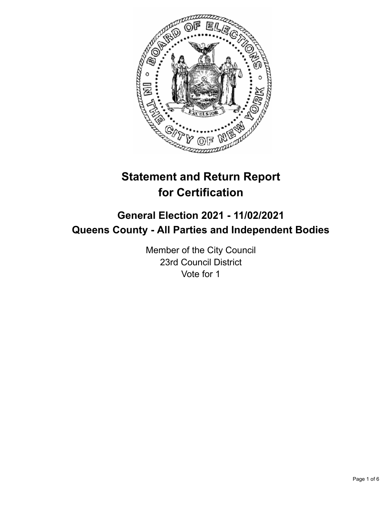

# **Statement and Return Report for Certification**

## **General Election 2021 - 11/02/2021 Queens County - All Parties and Independent Bodies**

Member of the City Council 23rd Council District Vote for 1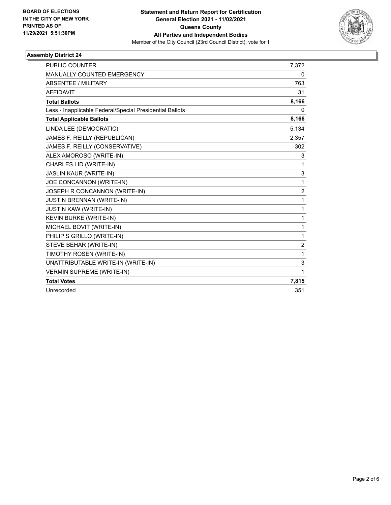

## **Assembly District 24**

| <b>PUBLIC COUNTER</b>                                    | 7,372          |
|----------------------------------------------------------|----------------|
| <b>MANUALLY COUNTED EMERGENCY</b>                        | 0              |
| <b>ABSENTEE / MILITARY</b>                               | 763            |
| <b>AFFIDAVIT</b>                                         | 31             |
| <b>Total Ballots</b>                                     | 8,166          |
| Less - Inapplicable Federal/Special Presidential Ballots | 0              |
| <b>Total Applicable Ballots</b>                          | 8,166          |
| LINDA LEE (DEMOCRATIC)                                   | 5,134          |
| JAMES F. REILLY (REPUBLICAN)                             | 2,357          |
| JAMES F. REILLY (CONSERVATIVE)                           | 302            |
| ALEX AMOROSO (WRITE-IN)                                  | 3              |
| CHARLES LID (WRITE-IN)                                   | 1              |
| <b>JASLIN KAUR (WRITE-IN)</b>                            | 3              |
| JOE CONCANNON (WRITE-IN)                                 | 1              |
| JOSEPH R CONCANNON (WRITE-IN)                            | $\overline{2}$ |
| <b>JUSTIN BRENNAN (WRITE-IN)</b>                         | 1              |
| <b>JUSTIN KAW (WRITE-IN)</b>                             | 1              |
| KEVIN BURKE (WRITE-IN)                                   | 1              |
| MICHAEL BOVIT (WRITE-IN)                                 | $\mathbf{1}$   |
| PHILIP S GRILLO (WRITE-IN)                               | 1              |
| STEVE BEHAR (WRITE-IN)                                   | $\overline{c}$ |
| TIMOTHY ROSEN (WRITE-IN)                                 | 1              |
| UNATTRIBUTABLE WRITE-IN (WRITE-IN)                       | 3              |
| <b>VERMIN SUPREME (WRITE-IN)</b>                         | 1              |
| <b>Total Votes</b>                                       | 7,815          |
| Unrecorded                                               | 351            |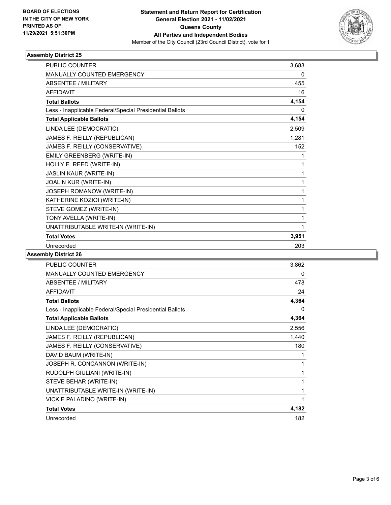

## **Assembly District 25**

| <b>PUBLIC COUNTER</b>                                    | 3,683 |
|----------------------------------------------------------|-------|
| MANUALLY COUNTED EMERGENCY                               | 0     |
| <b>ABSENTEE / MILITARY</b>                               | 455   |
| <b>AFFIDAVIT</b>                                         | 16    |
| <b>Total Ballots</b>                                     | 4,154 |
| Less - Inapplicable Federal/Special Presidential Ballots | 0     |
| <b>Total Applicable Ballots</b>                          | 4,154 |
| LINDA LEE (DEMOCRATIC)                                   | 2,509 |
| JAMES F. REILLY (REPUBLICAN)                             | 1,281 |
| JAMES F. REILLY (CONSERVATIVE)                           | 152   |
| EMILY GREENBERG (WRITE-IN)                               | 1     |
| HOLLY E. REED (WRITE-IN)                                 | 1     |
| <b>JASLIN KAUR (WRITE-IN)</b>                            | 1     |
| JOALIN KUR (WRITE-IN)                                    | 1     |
| JOSEPH ROMANOW (WRITE-IN)                                | 1     |
| KATHERINE KOZIOI (WRITE-IN)                              | 1     |
| STEVE GOMEZ (WRITE-IN)                                   | 1     |
| TONY AVELLA (WRITE-IN)                                   | 1     |
| UNATTRIBUTABLE WRITE-IN (WRITE-IN)                       | 1     |
| <b>Total Votes</b>                                       | 3,951 |
| Unrecorded                                               | 203   |

#### **Assembly District 26**

| <b>PUBLIC COUNTER</b>                                    | 3,862 |
|----------------------------------------------------------|-------|
| <b>MANUALLY COUNTED EMERGENCY</b>                        | 0     |
| ABSENTEE / MILITARY                                      | 478   |
| <b>AFFIDAVIT</b>                                         | 24    |
| <b>Total Ballots</b>                                     | 4,364 |
| Less - Inapplicable Federal/Special Presidential Ballots | 0     |
| <b>Total Applicable Ballots</b>                          | 4,364 |
| LINDA LEE (DEMOCRATIC)                                   | 2,556 |
| JAMES F. REILLY (REPUBLICAN)                             | 1,440 |
| JAMES F. REILLY (CONSERVATIVE)                           | 180   |
| DAVID BAUM (WRITE-IN)                                    | 1     |
| JOSEPH R. CONCANNON (WRITE-IN)                           | 1     |
| RUDOLPH GIULIANI (WRITE-IN)                              | 1     |
| STEVE BEHAR (WRITE-IN)                                   | 1     |
| UNATTRIBUTABLE WRITE-IN (WRITE-IN)                       | 1     |
| VICKIE PALADINO (WRITE-IN)                               | 1     |
| <b>Total Votes</b>                                       | 4,182 |
| Unrecorded                                               | 182   |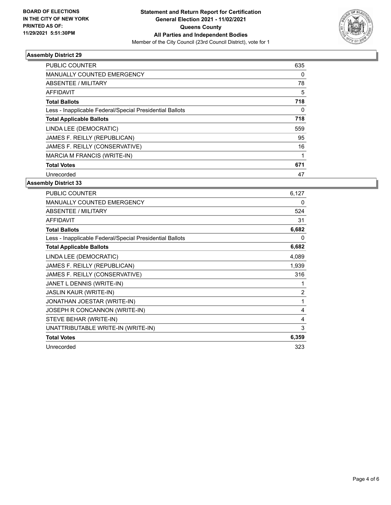

## **Assembly District 29**

| <b>PUBLIC COUNTER</b>                                    | 635 |
|----------------------------------------------------------|-----|
| <b>MANUALLY COUNTED EMERGENCY</b>                        | 0   |
| ABSENTEE / MILITARY                                      | 78  |
| AFFIDAVIT                                                | 5   |
| <b>Total Ballots</b>                                     | 718 |
| Less - Inapplicable Federal/Special Presidential Ballots | 0   |
| <b>Total Applicable Ballots</b>                          | 718 |
| LINDA LEE (DEMOCRATIC)                                   | 559 |
| JAMES F. REILLY (REPUBLICAN)                             | 95  |
| JAMES F. REILLY (CONSERVATIVE)                           | 16  |
| MARCIA M FRANCIS (WRITE-IN)                              |     |
| <b>Total Votes</b>                                       | 671 |
| Unrecorded                                               | 47  |

#### **Assembly District 33**

| PUBLIC COUNTER                                           | 6,127          |
|----------------------------------------------------------|----------------|
| MANUALLY COUNTED EMERGENCY                               | 0              |
| ABSENTEE / MILITARY                                      | 524            |
| <b>AFFIDAVIT</b>                                         | 31             |
| <b>Total Ballots</b>                                     | 6,682          |
| Less - Inapplicable Federal/Special Presidential Ballots | 0              |
| <b>Total Applicable Ballots</b>                          | 6,682          |
| LINDA LEE (DEMOCRATIC)                                   | 4,089          |
| JAMES F. REILLY (REPUBLICAN)                             | 1,939          |
| JAMES F. REILLY (CONSERVATIVE)                           | 316            |
| JANET L DENNIS (WRITE-IN)                                |                |
| <b>JASLIN KAUR (WRITE-IN)</b>                            | $\overline{2}$ |
| JONATHAN JOESTAR (WRITE-IN)                              | 1              |
| JOSEPH R CONCANNON (WRITE-IN)                            | 4              |
| STEVE BEHAR (WRITE-IN)                                   | 4              |
| UNATTRIBUTABLE WRITE-IN (WRITE-IN)                       | 3              |
| <b>Total Votes</b>                                       | 6,359          |
| Unrecorded                                               | 323            |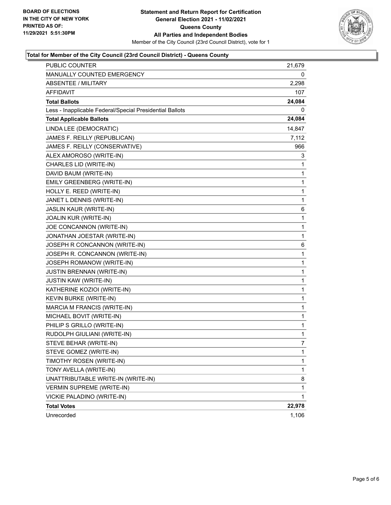

## **Total for Member of the City Council (23rd Council District) - Queens County**

| <b>PUBLIC COUNTER</b>                                    | 21,679 |
|----------------------------------------------------------|--------|
| MANUALLY COUNTED EMERGENCY                               | 0      |
| <b>ABSENTEE / MILITARY</b>                               | 2,298  |
| <b>AFFIDAVIT</b>                                         | 107    |
| <b>Total Ballots</b>                                     | 24,084 |
| Less - Inapplicable Federal/Special Presidential Ballots | 0      |
| <b>Total Applicable Ballots</b>                          | 24,084 |
| LINDA LEE (DEMOCRATIC)                                   | 14,847 |
| JAMES F. REILLY (REPUBLICAN)                             | 7,112  |
| JAMES F. REILLY (CONSERVATIVE)                           | 966    |
| ALEX AMOROSO (WRITE-IN)                                  | 3      |
| CHARLES LID (WRITE-IN)                                   | 1      |
| DAVID BAUM (WRITE-IN)                                    | 1      |
| EMILY GREENBERG (WRITE-IN)                               | 1      |
| HOLLY E. REED (WRITE-IN)                                 | 1      |
| JANET L DENNIS (WRITE-IN)                                | 1      |
| <b>JASLIN KAUR (WRITE-IN)</b>                            | 6      |
| JOALIN KUR (WRITE-IN)                                    | 1      |
| JOE CONCANNON (WRITE-IN)                                 | 1      |
| JONATHAN JOESTAR (WRITE-IN)                              | 1      |
| JOSEPH R CONCANNON (WRITE-IN)                            | 6      |
| JOSEPH R. CONCANNON (WRITE-IN)                           | 1      |
| JOSEPH ROMANOW (WRITE-IN)                                | 1      |
| <b>JUSTIN BRENNAN (WRITE-IN)</b>                         | 1      |
| <b>JUSTIN KAW (WRITE-IN)</b>                             | 1      |
| KATHERINE KOZIOI (WRITE-IN)                              | 1      |
| KEVIN BURKE (WRITE-IN)                                   | 1      |
| MARCIA M FRANCIS (WRITE-IN)                              | 1      |
| MICHAEL BOVIT (WRITE-IN)                                 | 1      |
| PHILIP S GRILLO (WRITE-IN)                               | 1      |
| RUDOLPH GIULIANI (WRITE-IN)                              | 1      |
| STEVE BEHAR (WRITE-IN)                                   | 7      |
| STEVE GOMEZ (WRITE-IN)                                   | 1      |
| TIMOTHY ROSEN (WRITE-IN)                                 | 1      |
| TONY AVELLA (WRITE-IN)                                   | 1      |
| UNATTRIBUTABLE WRITE-IN (WRITE-IN)                       | 8      |
| <b>VERMIN SUPREME (WRITE-IN)</b>                         | 1      |
| VICKIE PALADINO (WRITE-IN)                               | 1      |
| <b>Total Votes</b>                                       | 22,978 |
| Unrecorded                                               | 1,106  |